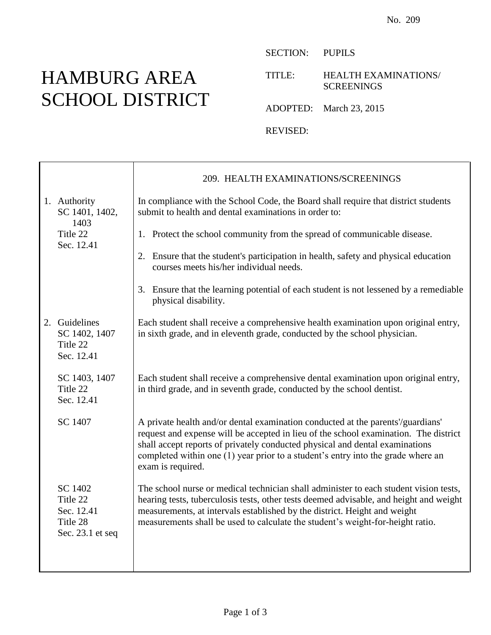## HAMBURG AREA SCHOOL DISTRICT

Τ

SECTION: PUPILS

TITLE: HEALTH EXAMINATIONS/ **SCREENINGS** 

ADOPTED: March 23, 2015

REVISED:

|                                                                   | 209. HEALTH EXAMINATIONS/SCREENINGS                                                                                                                                                                                                                                                                                                                              |
|-------------------------------------------------------------------|------------------------------------------------------------------------------------------------------------------------------------------------------------------------------------------------------------------------------------------------------------------------------------------------------------------------------------------------------------------|
| 1. Authority<br>SC 1401, 1402,<br>1403                            | In compliance with the School Code, the Board shall require that district students<br>submit to health and dental examinations in order to:                                                                                                                                                                                                                      |
| Title 22<br>Sec. 12.41                                            | 1. Protect the school community from the spread of communicable disease.                                                                                                                                                                                                                                                                                         |
|                                                                   | 2. Ensure that the student's participation in health, safety and physical education<br>courses meets his/her individual needs.                                                                                                                                                                                                                                   |
|                                                                   | 3. Ensure that the learning potential of each student is not lessened by a remediable<br>physical disability.                                                                                                                                                                                                                                                    |
| 2. Guidelines<br>SC 1402, 1407<br>Title 22<br>Sec. 12.41          | Each student shall receive a comprehensive health examination upon original entry,<br>in sixth grade, and in eleventh grade, conducted by the school physician.                                                                                                                                                                                                  |
| SC 1403, 1407<br>Title 22<br>Sec. 12.41                           | Each student shall receive a comprehensive dental examination upon original entry,<br>in third grade, and in seventh grade, conducted by the school dentist.                                                                                                                                                                                                     |
| SC 1407                                                           | A private health and/or dental examination conducted at the parents'/guardians'<br>request and expense will be accepted in lieu of the school examination. The district<br>shall accept reports of privately conducted physical and dental examinations<br>completed within one (1) year prior to a student's entry into the grade where an<br>exam is required. |
| SC 1402<br>Title 22<br>Sec. 12.41<br>Title 28<br>Sec. 23.1 et seq | The school nurse or medical technician shall administer to each student vision tests,<br>hearing tests, tuberculosis tests, other tests deemed advisable, and height and weight<br>measurements, at intervals established by the district. Height and weight<br>measurements shall be used to calculate the student's weight-for-height ratio.                   |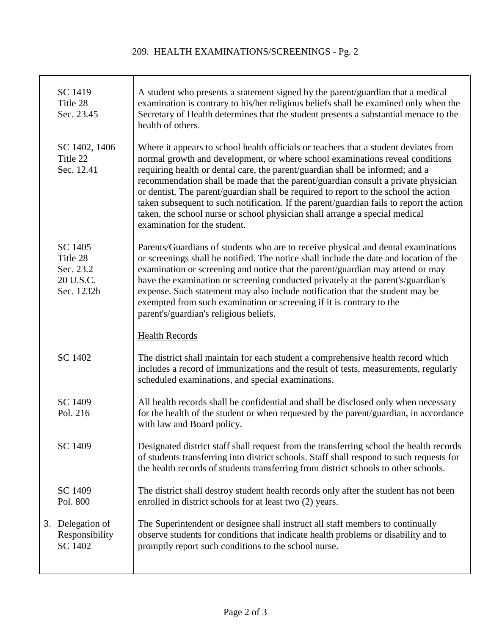## 209. HEALTH EXAMINATIONS/SCREENINGS - Pg. 2

| SC 1419<br>Title 28<br>Sec. 23.45                           | A student who presents a statement signed by the parent/guardian that a medical<br>examination is contrary to his/her religious beliefs shall be examined only when the<br>Secretary of Health determines that the student presents a substantial menace to the<br>health of others.                                                                                                                                                                                                                                                                                                                                                           |
|-------------------------------------------------------------|------------------------------------------------------------------------------------------------------------------------------------------------------------------------------------------------------------------------------------------------------------------------------------------------------------------------------------------------------------------------------------------------------------------------------------------------------------------------------------------------------------------------------------------------------------------------------------------------------------------------------------------------|
| SC 1402, 1406<br>Title 22<br>Sec. 12.41                     | Where it appears to school health officials or teachers that a student deviates from<br>normal growth and development, or where school examinations reveal conditions<br>requiring health or dental care, the parent/guardian shall be informed; and a<br>recommendation shall be made that the parent/guardian consult a private physician<br>or dentist. The parent/guardian shall be required to report to the school the action<br>taken subsequent to such notification. If the parent/guardian fails to report the action<br>taken, the school nurse or school physician shall arrange a special medical<br>examination for the student. |
| SC 1405<br>Title 28<br>Sec. 23.2<br>20 U.S.C.<br>Sec. 1232h | Parents/Guardians of students who are to receive physical and dental examinations<br>or screenings shall be notified. The notice shall include the date and location of the<br>examination or screening and notice that the parent/guardian may attend or may<br>have the examination or screening conducted privately at the parent's/guardian's<br>expense. Such statement may also include notification that the student may be<br>exempted from such examination or screening if it is contrary to the<br>parent's/guardian's religious beliefs.                                                                                           |
|                                                             | <b>Health Records</b>                                                                                                                                                                                                                                                                                                                                                                                                                                                                                                                                                                                                                          |
| SC 1402                                                     | The district shall maintain for each student a comprehensive health record which<br>includes a record of immunizations and the result of tests, measurements, regularly<br>scheduled examinations, and special examinations.                                                                                                                                                                                                                                                                                                                                                                                                                   |
| SC 1409<br>Pol. 216                                         | All health records shall be confidential and shall be disclosed only when necessary<br>for the health of the student or when requested by the parent/guardian, in accordance<br>with law and Board policy.                                                                                                                                                                                                                                                                                                                                                                                                                                     |
| SC 1409                                                     | Designated district staff shall request from the transferring school the health records<br>of students transferring into district schools. Staff shall respond to such requests for<br>the health records of students transferring from district schools to other schools.                                                                                                                                                                                                                                                                                                                                                                     |
| SC 1409<br>Pol. 800                                         | The district shall destroy student health records only after the student has not been<br>enrolled in district schools for at least two (2) years.                                                                                                                                                                                                                                                                                                                                                                                                                                                                                              |
| 3. Delegation of<br>Responsibility<br>SC 1402               | The Superintendent or designee shall instruct all staff members to continually<br>observe students for conditions that indicate health problems or disability and to<br>promptly report such conditions to the school nurse.                                                                                                                                                                                                                                                                                                                                                                                                                   |
|                                                             |                                                                                                                                                                                                                                                                                                                                                                                                                                                                                                                                                                                                                                                |